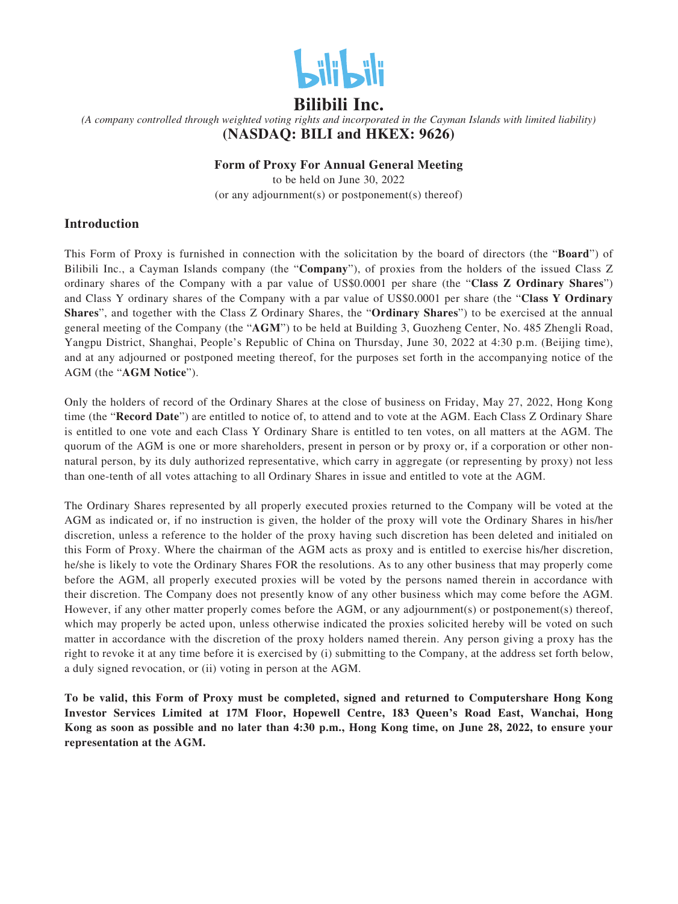

## **Bilibili Inc.**

*(A company controlled through weighted voting rights and incorporated in the Cayman Islands with limited liability)* **(NASDAQ: BILI and HKEX: 9626)**

#### **Form of Proxy For Annual General Meeting**

to be held on June 30, 2022 (or any adjournment(s) or postponement(s) thereof)

### **Introduction**

This Form of Proxy is furnished in connection with the solicitation by the board of directors (the "**Board**") of Bilibili Inc., a Cayman Islands company (the "**Company**"), of proxies from the holders of the issued Class Z ordinary shares of the Company with a par value of US\$0.0001 per share (the "**Class Z Ordinary Shares**") and Class Y ordinary shares of the Company with a par value of US\$0.0001 per share (the "**Class Y Ordinary Shares**", and together with the Class Z Ordinary Shares, the "**Ordinary Shares**") to be exercised at the annual general meeting of the Company (the "**AGM**") to be held at Building 3, Guozheng Center, No. 485 Zhengli Road, Yangpu District, Shanghai, People's Republic of China on Thursday, June 30, 2022 at 4:30 p.m. (Beijing time), and at any adjourned or postponed meeting thereof, for the purposes set forth in the accompanying notice of the AGM (the "**AGM Notice**").

Only the holders of record of the Ordinary Shares at the close of business on Friday, May 27, 2022, Hong Kong time (the "**Record Date**") are entitled to notice of, to attend and to vote at the AGM. Each Class Z Ordinary Share is entitled to one vote and each Class Y Ordinary Share is entitled to ten votes, on all matters at the AGM. The quorum of the AGM is one or more shareholders, present in person or by proxy or, if a corporation or other nonnatural person, by its duly authorized representative, which carry in aggregate (or representing by proxy) not less than one-tenth of all votes attaching to all Ordinary Shares in issue and entitled to vote at the AGM.

The Ordinary Shares represented by all properly executed proxies returned to the Company will be voted at the AGM as indicated or, if no instruction is given, the holder of the proxy will vote the Ordinary Shares in his/her discretion, unless a reference to the holder of the proxy having such discretion has been deleted and initialed on this Form of Proxy. Where the chairman of the AGM acts as proxy and is entitled to exercise his/her discretion, he/she is likely to vote the Ordinary Shares FOR the resolutions. As to any other business that may properly come before the AGM, all properly executed proxies will be voted by the persons named therein in accordance with their discretion. The Company does not presently know of any other business which may come before the AGM. However, if any other matter properly comes before the AGM, or any adjournment(s) or postponement(s) thereof, which may properly be acted upon, unless otherwise indicated the proxies solicited hereby will be voted on such matter in accordance with the discretion of the proxy holders named therein. Any person giving a proxy has the right to revoke it at any time before it is exercised by (i) submitting to the Company, at the address set forth below, a duly signed revocation, or (ii) voting in person at the AGM.

**To be valid, this Form of Proxy must be completed, signed and returned to Computershare Hong Kong Investor Services Limited at 17M Floor, Hopewell Centre, 183 Queen's Road East, Wanchai, Hong Kong as soon as possible and no later than 4:30 p.m., Hong Kong time, on June 28, 2022, to ensure your representation at the AGM.**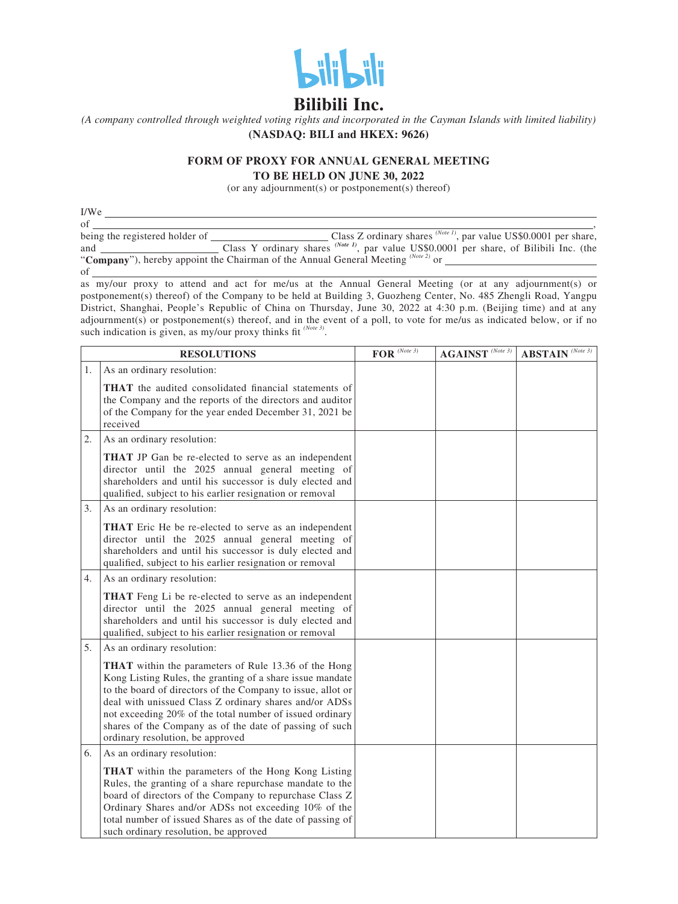

# **Bilibili Inc.**

*(A company controlled through weighted voting rights and incorporated in the Cayman Islands with limited liability)* **(NASDAQ: BILI and HKEX: 9626)**

#### **FORM OF PROXY FOR ANNUAL GENERAL MEETING TO BE HELD ON JUNE 30, 2022**

(or any adjournment(s) or postponement(s) thereof)

 $\frac{I/We}{\text{of}}$ of  $\overline{\phantom{a}}$ ,  $\overline{\phantom{a}}$ ,  $\overline{\phantom{a}}$ ,  $\overline{\phantom{a}}$ ,  $\overline{\phantom{a}}$ ,  $\overline{\phantom{a}}$ ,  $\overline{\phantom{a}}$ ,  $\overline{\phantom{a}}$ ,  $\overline{\phantom{a}}$ ,  $\overline{\phantom{a}}$ ,  $\overline{\phantom{a}}$ ,  $\overline{\phantom{a}}$ ,  $\overline{\phantom{a}}$ ,  $\overline{\phantom{a}}$ ,  $\overline{\phantom{a}}$ ,  $\overline{\phantom{a}}$ ,  $\overline{\phantom{a}}$ being the registered holder of Class Z ordinary shares *(Note 1)*, par value US\$0.0001 per share, and Class Y ordinary shares <sup>(Note 1)</sup>, par value US\$0.0001 per share, of Bilibili Inc. (the and Class Y ordinary shares <sup>*(vote 1)*</sup>, par value US\$0.0001 <br>"**Company**"), hereby appoint the Chairman of the Annual General Meeting <sup>*(Note 2)*</sup> or of

as my/our proxy to attend and act for me/us at the Annual General Meeting (or at any adjournment(s) or postponement(s) thereof) of the Company to be held at Building 3, Guozheng Center, No. 485 Zhengli Road, Yangpu District, Shanghai, People's Republic of China on Thursday, June 30, 2022 at 4:30 p.m. (Beijing time) and at any adjournment(s) or postponement(s) thereof, and in the event of a poll, to vote for me/us as indicated below, or if no such indication is given, as my/our proxy thinks fit <sup>(Note 3)</sup>.

|    | <b>RESOLUTIONS</b>                                                                                                                                                                                                                                                                                                                                                                                           | $\textbf{FOR}^{(\textit{Note 3})}$ | $\mathbf{AGAINST}$ (Note 3) | $\mathbf{ABSTAIN}$ (Note 3) |
|----|--------------------------------------------------------------------------------------------------------------------------------------------------------------------------------------------------------------------------------------------------------------------------------------------------------------------------------------------------------------------------------------------------------------|------------------------------------|-----------------------------|-----------------------------|
| 1. | As an ordinary resolution:                                                                                                                                                                                                                                                                                                                                                                                   |                                    |                             |                             |
|    | <b>THAT</b> the audited consolidated financial statements of<br>the Company and the reports of the directors and auditor<br>of the Company for the year ended December 31, 2021 be<br>received                                                                                                                                                                                                               |                                    |                             |                             |
| 2. | As an ordinary resolution:                                                                                                                                                                                                                                                                                                                                                                                   |                                    |                             |                             |
|    | <b>THAT</b> JP Gan be re-elected to serve as an independent<br>director until the 2025 annual general meeting of<br>shareholders and until his successor is duly elected and<br>qualified, subject to his earlier resignation or removal                                                                                                                                                                     |                                    |                             |                             |
| 3. | As an ordinary resolution:                                                                                                                                                                                                                                                                                                                                                                                   |                                    |                             |                             |
|    | <b>THAT</b> Eric He be re-elected to serve as an independent<br>director until the 2025 annual general meeting of<br>shareholders and until his successor is duly elected and<br>qualified, subject to his earlier resignation or removal                                                                                                                                                                    |                                    |                             |                             |
| 4. | As an ordinary resolution:                                                                                                                                                                                                                                                                                                                                                                                   |                                    |                             |                             |
|    | THAT Feng Li be re-elected to serve as an independent<br>director until the 2025 annual general meeting of<br>shareholders and until his successor is duly elected and<br>qualified, subject to his earlier resignation or removal                                                                                                                                                                           |                                    |                             |                             |
| 5. | As an ordinary resolution:                                                                                                                                                                                                                                                                                                                                                                                   |                                    |                             |                             |
|    | <b>THAT</b> within the parameters of Rule 13.36 of the Hong<br>Kong Listing Rules, the granting of a share issue mandate<br>to the board of directors of the Company to issue, allot or<br>deal with unissued Class Z ordinary shares and/or ADSs<br>not exceeding 20% of the total number of issued ordinary<br>shares of the Company as of the date of passing of such<br>ordinary resolution, be approved |                                    |                             |                             |
| 6. | As an ordinary resolution:                                                                                                                                                                                                                                                                                                                                                                                   |                                    |                             |                             |
|    | THAT within the parameters of the Hong Kong Listing<br>Rules, the granting of a share repurchase mandate to the<br>board of directors of the Company to repurchase Class Z<br>Ordinary Shares and/or ADSs not exceeding 10% of the<br>total number of issued Shares as of the date of passing of<br>such ordinary resolution, be approved                                                                    |                                    |                             |                             |